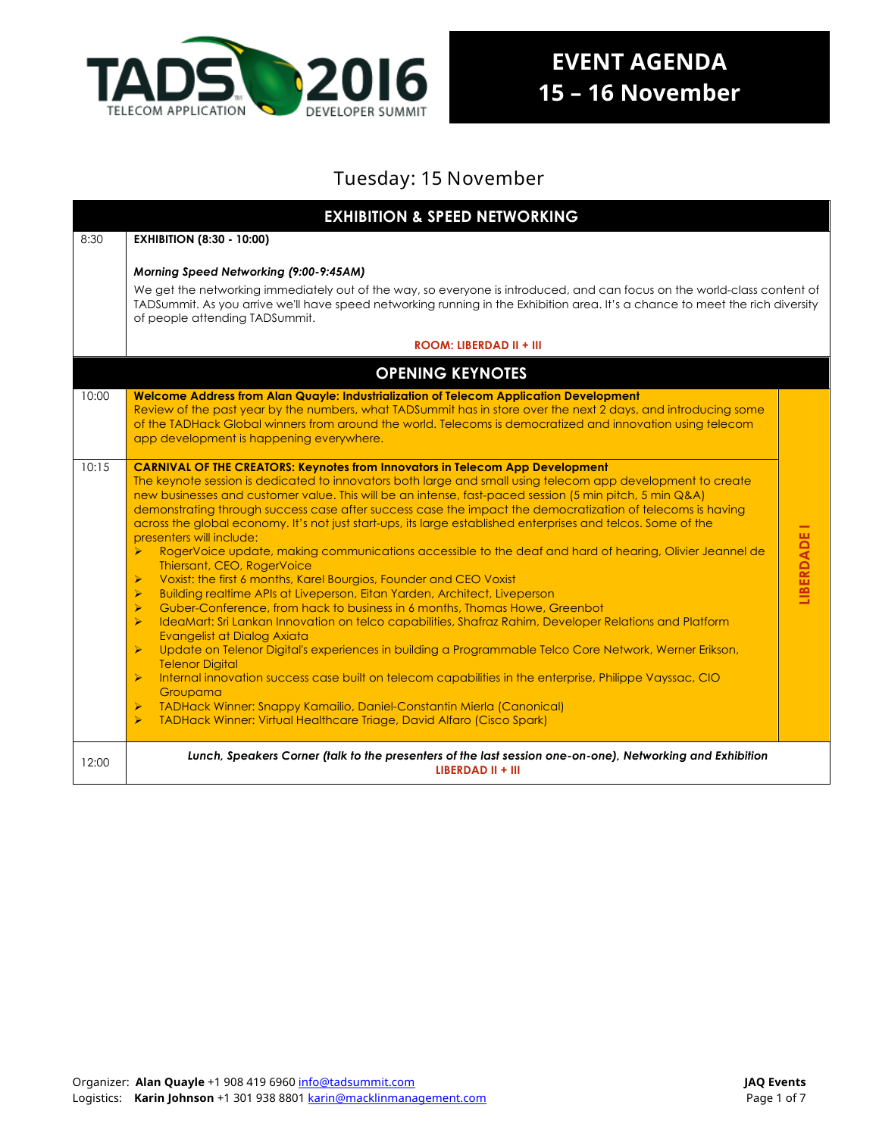

## Tuesday: 15 November

|       | <b>EXHIBITION &amp; SPEED NETWORKING</b>                                                                                                                                                                                                                                                                                                                                                                                                                                                                                                                                                                                                                                                                                                                                                                                                                                                                                                                                                                                                                                                                                                                                                                                                                                                                                                                                                                                                                                                                                                                                                                                                                                                                                 |                   |  |  |  |
|-------|--------------------------------------------------------------------------------------------------------------------------------------------------------------------------------------------------------------------------------------------------------------------------------------------------------------------------------------------------------------------------------------------------------------------------------------------------------------------------------------------------------------------------------------------------------------------------------------------------------------------------------------------------------------------------------------------------------------------------------------------------------------------------------------------------------------------------------------------------------------------------------------------------------------------------------------------------------------------------------------------------------------------------------------------------------------------------------------------------------------------------------------------------------------------------------------------------------------------------------------------------------------------------------------------------------------------------------------------------------------------------------------------------------------------------------------------------------------------------------------------------------------------------------------------------------------------------------------------------------------------------------------------------------------------------------------------------------------------------|-------------------|--|--|--|
| 8:30  | <b>EXHIBITION (8:30 - 10:00)</b>                                                                                                                                                                                                                                                                                                                                                                                                                                                                                                                                                                                                                                                                                                                                                                                                                                                                                                                                                                                                                                                                                                                                                                                                                                                                                                                                                                                                                                                                                                                                                                                                                                                                                         |                   |  |  |  |
|       | Morning Speed Networking (9:00-9:45AM)<br>We get the networking immediately out of the way, so everyone is introduced, and can focus on the world-class content of<br>TADSummit. As you arrive we'll have speed networking running in the Exhibition area. It's a chance to meet the rich diversity<br>of people attending TADSummit.<br><b>ROOM: LIBERDAD II + III</b>                                                                                                                                                                                                                                                                                                                                                                                                                                                                                                                                                                                                                                                                                                                                                                                                                                                                                                                                                                                                                                                                                                                                                                                                                                                                                                                                                  |                   |  |  |  |
|       | <b>OPENING KEYNOTES</b>                                                                                                                                                                                                                                                                                                                                                                                                                                                                                                                                                                                                                                                                                                                                                                                                                                                                                                                                                                                                                                                                                                                                                                                                                                                                                                                                                                                                                                                                                                                                                                                                                                                                                                  |                   |  |  |  |
| 10:00 | Welcome Address from Alan Quayle: Industrialization of Telecom Application Development<br>Review of the past year by the numbers, what TADSummit has in store over the next 2 days, and introducing some<br>of the TADHack Global winners from around the world. Telecoms is democratized and innovation using telecom<br>app development is happening everywhere.                                                                                                                                                                                                                                                                                                                                                                                                                                                                                                                                                                                                                                                                                                                                                                                                                                                                                                                                                                                                                                                                                                                                                                                                                                                                                                                                                       |                   |  |  |  |
| 10:15 | <b>CARNIVAL OF THE CREATORS: Keynotes from Innovators in Telecom App Development</b><br>The keynote session is dedicated to innovators both large and small using telecom app development to create<br>new businesses and customer value. This will be an intense, fast-paced session (5 min pitch, 5 min Q&A)<br>demonstrating through success case after success case the impact the democratization of telecoms is having<br>across the global economy. It's not just start-ups, its large established enterprises and telcos. Some of the<br>presenters will include:<br>RogerVoice update, making communications accessible to the deaf and hard of hearing, Olivier Jeannel de<br>Thiersant, CEO, RogerVoice<br>$\blacktriangleright$<br>Voxist: the first 6 months, Karel Bourgios, Founder and CEO Voxist<br>$\blacktriangleright$<br>Building realtime APIs at Liveperson, Eitan Yarden, Architect, Liveperson<br>Guber-Conference, from hack to business in 6 months, Thomas Howe, Greenbot<br>$\blacktriangleright$<br>$\blacktriangleright$<br>IdeaMart: Sri Lankan Innovation on telco capabilities, Shafraz Rahim, Developer Relations and Platform<br>Evangelist at Dialog Axiata<br>$\blacktriangleright$<br>Update on Telenor Digital's experiences in building a Programmable Telco Core Network, Werner Erikson,<br><b>Telenor Digital</b><br>$\blacktriangleright$<br>Internal innovation success case built on telecom capabilities in the enterprise, Philippe Vayssac, CIO<br>Groupama<br><b>TADHack Winner: Snappy Kamailio, Daniel-Constantin Mierla (Canonical)</b><br>$\blacktriangleright$<br>$\blacktriangleright$<br>TADHack Winner: Virtual Healthcare Triage, David Alfaro (Cisco Spark) | <b>LIBERDADE1</b> |  |  |  |
| 12:00 | Lunch, Speakers Corner (talk to the presenters of the last session one-on-one), Networking and Exhibition<br>LIBERDAD II + III                                                                                                                                                                                                                                                                                                                                                                                                                                                                                                                                                                                                                                                                                                                                                                                                                                                                                                                                                                                                                                                                                                                                                                                                                                                                                                                                                                                                                                                                                                                                                                                           |                   |  |  |  |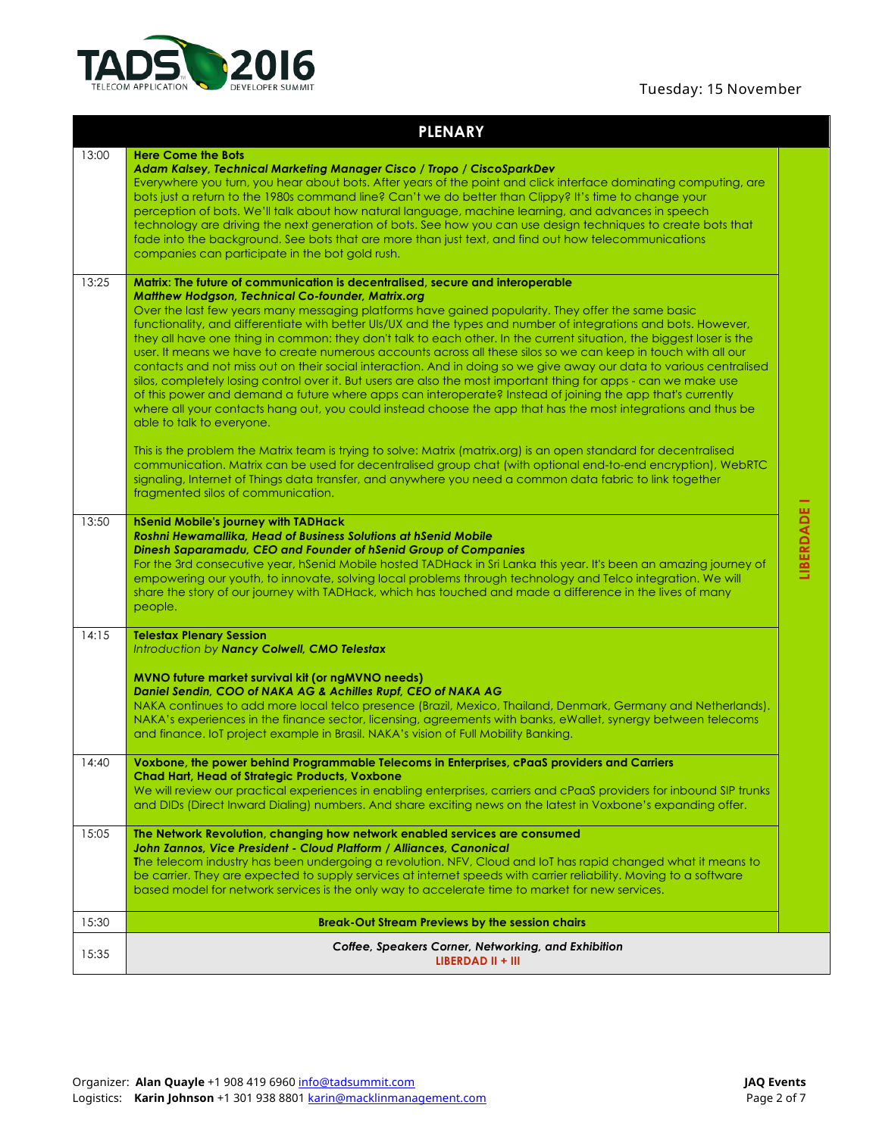### Tuesday: 15 November



### **PLENARY**

| 13:00 | <b>Here Come the Bots</b><br>Adam Kalsey, Technical Marketing Manager Cisco / Tropo / CiscoSparkDev<br>Everywhere you turn, you hear about bots. After years of the point and click interface dominating computing, are<br>bots just a return to the 1980s command line? Can't we do better than Clippy? It's time to change your<br>perception of bots. We'll talk about how natural language, machine learning, and advances in speech<br>technology are driving the next generation of bots. See how you can use design techniques to create bots that<br>fade into the background. See bots that are more than just text, and find out how telecommunications<br>companies can participate in the bot gold rush.                                                                                                                                                                                                                                                                                                                                                                                                                                                                                                                                                                                                                                                                                                                                                                                        |           |
|-------|-------------------------------------------------------------------------------------------------------------------------------------------------------------------------------------------------------------------------------------------------------------------------------------------------------------------------------------------------------------------------------------------------------------------------------------------------------------------------------------------------------------------------------------------------------------------------------------------------------------------------------------------------------------------------------------------------------------------------------------------------------------------------------------------------------------------------------------------------------------------------------------------------------------------------------------------------------------------------------------------------------------------------------------------------------------------------------------------------------------------------------------------------------------------------------------------------------------------------------------------------------------------------------------------------------------------------------------------------------------------------------------------------------------------------------------------------------------------------------------------------------------|-----------|
| 13:25 | Matrix: The future of communication is decentralised, secure and interoperable<br><b>Matthew Hodgson, Technical Co-founder, Matrix.org</b><br>Over the last few years many messaging platforms have gained popularity. They offer the same basic<br>functionality, and differentiate with better UIs/UX and the types and number of integrations and bots. However,<br>they all have one thing in common: they don't talk to each other. In the current situation, the biggest loser is the<br>user. It means we have to create numerous accounts across all these silos so we can keep in touch with all our<br>contacts and not miss out on their social interaction. And in doing so we give away our data to various centralised<br>silos, completely losing control over it. But users are also the most important thing for apps - can we make use<br>of this power and demand a future where apps can interoperate? Instead of joining the app that's currently<br>where all your contacts hang out, you could instead choose the app that has the most integrations and thus be<br>able to talk to everyone.<br>This is the problem the Matrix team is trying to solve: Matrix (matrix.org) is an open standard for decentralised<br>communication. Matrix can be used for decentralised group chat (with optional end-to-end encryption), WebRTC<br>signaling, Internet of Things data transfer, and anywhere you need a common data fabric to link together<br>fragmented silos of communication. |           |
| 13:50 | hSenid Mobile's journey with TADHack<br>Roshni Hewamallika, Head of Business Solutions at hSenid Mobile<br>Dinesh Saparamadu, CEO and Founder of hSenid Group of Companies<br>For the 3rd consecutive year, hSenid Mobile hosted TADHack in Sri Lanka this year. It's been an amazing journey of<br>empowering our youth, to innovate, solving local problems through technology and Telco integration. We will<br>share the story of our journey with TADHack, which has touched and made a difference in the lives of many<br>people.                                                                                                                                                                                                                                                                                                                                                                                                                                                                                                                                                                                                                                                                                                                                                                                                                                                                                                                                                                     | LIBERDADE |
| 14:15 | <b>Telestax Plenary Session</b><br>Introduction by Nancy Colwell, CMO Telestax<br>MVNO future market survival kit (or ngMVNO needs)<br>Daniel Sendin, COO of NAKA AG & Achilles Rupf, CEO of NAKA AG<br>NAKA continues to add more local telco presence (Brazil, Mexico, Thailand, Denmark, Germany and Netherlands).<br>NAKA's experiences in the finance sector, licensing, agreements with banks, eWallet, synergy between telecoms<br>and finance. IoT project example in Brasil. NAKA's vision of Full Mobility Banking.                                                                                                                                                                                                                                                                                                                                                                                                                                                                                                                                                                                                                                                                                                                                                                                                                                                                                                                                                                               |           |
| 14:40 | Voxbone, the power behind Programmable Telecoms in Enterprises, cPaaS providers and Carriers<br><b>Chad Hart, Head of Strategic Products, Voxbone</b><br>We will review our practical experiences in enabling enterprises, carriers and cPaaS providers for inbound SIP trunks<br>and DIDs (Direct Inward Dialing) numbers. And share exciting news on the latest in Voxbone's expanding offer.                                                                                                                                                                                                                                                                                                                                                                                                                                                                                                                                                                                                                                                                                                                                                                                                                                                                                                                                                                                                                                                                                                             |           |
| 15:05 | The Network Revolution, changing how network enabled services are consumed<br>John Zannos, Vice President - Cloud Platform / Alliances, Canonical<br>The telecom industry has been undergoing a revolution. NFV, Cloud and IoT has rapid changed what it means to<br>be carrier. They are expected to supply services at internet speeds with carrier reliability. Moving to a software<br>based model for network services is the only way to accelerate time to market for new services.                                                                                                                                                                                                                                                                                                                                                                                                                                                                                                                                                                                                                                                                                                                                                                                                                                                                                                                                                                                                                  |           |
| 15:30 | <b>Break-Out Stream Previews by the session chairs</b>                                                                                                                                                                                                                                                                                                                                                                                                                                                                                                                                                                                                                                                                                                                                                                                                                                                                                                                                                                                                                                                                                                                                                                                                                                                                                                                                                                                                                                                      |           |
| 15:35 | Coffee, Speakers Corner, Networking, and Exhibition<br>LIBERDAD II + III                                                                                                                                                                                                                                                                                                                                                                                                                                                                                                                                                                                                                                                                                                                                                                                                                                                                                                                                                                                                                                                                                                                                                                                                                                                                                                                                                                                                                                    |           |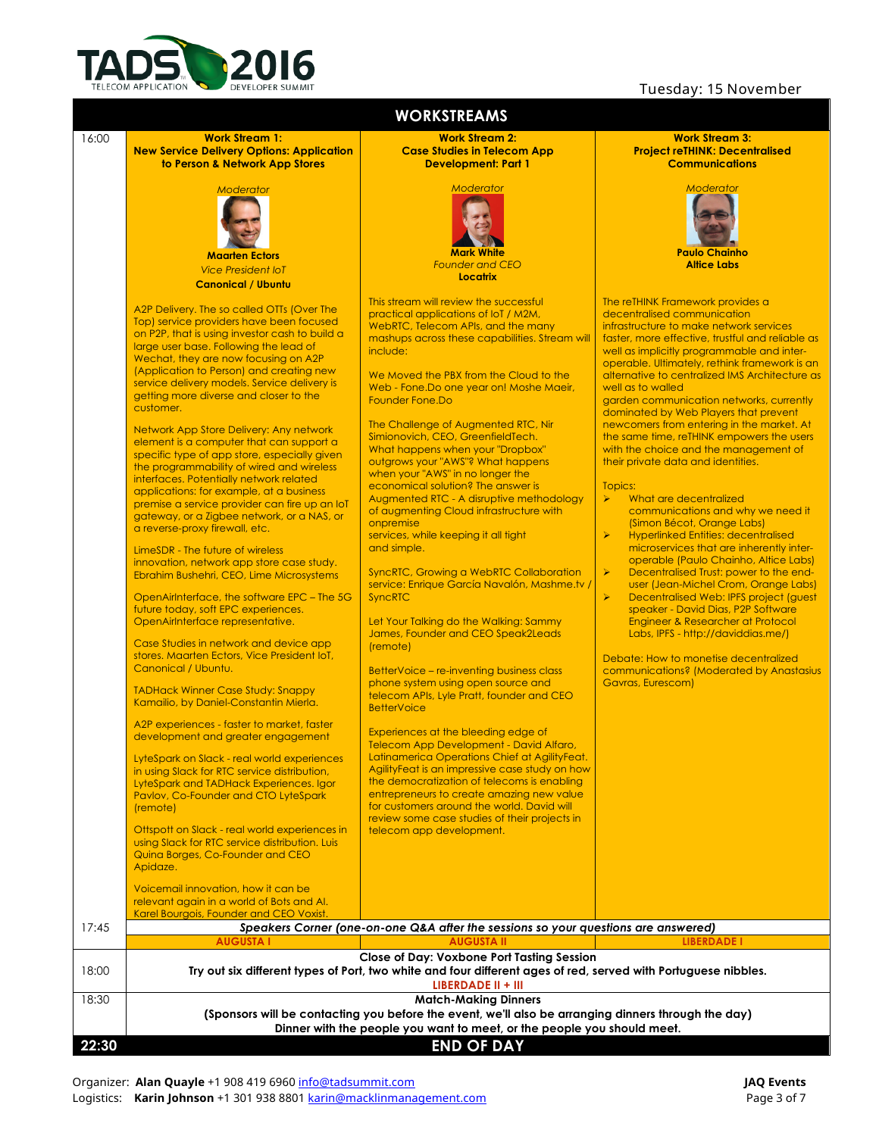

### Tuesday: 15 November

| <b>WORKSTREAMS</b> |                                                                                                                                                                                                                                                                                                                                                                                                                                                                                                                                                                                                                                                                                                                                                                                                                                                                                                                                                                                                                                                                                                                                                                                                                                                                                                                                                                                                                                                                                                                                                                                                                                                                                                                                                                                 |                                                                                                                                                                                                                                                                                                                                                                                                                                                                                                                                                                                                                                                                                                                                                                                                                                                                                                                                                                                                                                                                                                                                                                                                                                                                                                                                                                                                                                                                          |                                                                                                                                                                                                                                                                                                                                                                                                                                                                                                                                                                                                                                                                                                                                                                                                                                                                                                                                                                                                                                                                                                                                                                                                                                                                                      |  |  |  |
|--------------------|---------------------------------------------------------------------------------------------------------------------------------------------------------------------------------------------------------------------------------------------------------------------------------------------------------------------------------------------------------------------------------------------------------------------------------------------------------------------------------------------------------------------------------------------------------------------------------------------------------------------------------------------------------------------------------------------------------------------------------------------------------------------------------------------------------------------------------------------------------------------------------------------------------------------------------------------------------------------------------------------------------------------------------------------------------------------------------------------------------------------------------------------------------------------------------------------------------------------------------------------------------------------------------------------------------------------------------------------------------------------------------------------------------------------------------------------------------------------------------------------------------------------------------------------------------------------------------------------------------------------------------------------------------------------------------------------------------------------------------------------------------------------------------|--------------------------------------------------------------------------------------------------------------------------------------------------------------------------------------------------------------------------------------------------------------------------------------------------------------------------------------------------------------------------------------------------------------------------------------------------------------------------------------------------------------------------------------------------------------------------------------------------------------------------------------------------------------------------------------------------------------------------------------------------------------------------------------------------------------------------------------------------------------------------------------------------------------------------------------------------------------------------------------------------------------------------------------------------------------------------------------------------------------------------------------------------------------------------------------------------------------------------------------------------------------------------------------------------------------------------------------------------------------------------------------------------------------------------------------------------------------------------|--------------------------------------------------------------------------------------------------------------------------------------------------------------------------------------------------------------------------------------------------------------------------------------------------------------------------------------------------------------------------------------------------------------------------------------------------------------------------------------------------------------------------------------------------------------------------------------------------------------------------------------------------------------------------------------------------------------------------------------------------------------------------------------------------------------------------------------------------------------------------------------------------------------------------------------------------------------------------------------------------------------------------------------------------------------------------------------------------------------------------------------------------------------------------------------------------------------------------------------------------------------------------------------|--|--|--|
| 16:00              | <b>Work Stream 1:</b><br><b>New Service Delivery Options: Application</b><br>to Person & Network App Stores                                                                                                                                                                                                                                                                                                                                                                                                                                                                                                                                                                                                                                                                                                                                                                                                                                                                                                                                                                                                                                                                                                                                                                                                                                                                                                                                                                                                                                                                                                                                                                                                                                                                     | <b>Work Stream 2:</b><br><b>Case Studies in Telecom App</b><br><b>Development: Part 1</b>                                                                                                                                                                                                                                                                                                                                                                                                                                                                                                                                                                                                                                                                                                                                                                                                                                                                                                                                                                                                                                                                                                                                                                                                                                                                                                                                                                                | <b>Work Stream 3:</b><br><b>Project reTHINK: Decentralised</b><br><b>Communications</b>                                                                                                                                                                                                                                                                                                                                                                                                                                                                                                                                                                                                                                                                                                                                                                                                                                                                                                                                                                                                                                                                                                                                                                                              |  |  |  |
|                    | <b>Moderator</b><br><b>Maarten Ectors</b><br><b>Vice President IoT</b><br><b>Canonical / Ubuntu</b>                                                                                                                                                                                                                                                                                                                                                                                                                                                                                                                                                                                                                                                                                                                                                                                                                                                                                                                                                                                                                                                                                                                                                                                                                                                                                                                                                                                                                                                                                                                                                                                                                                                                             | Moderator<br><b>Mark White</b><br><b>Founder and CEO</b><br>Locatrix                                                                                                                                                                                                                                                                                                                                                                                                                                                                                                                                                                                                                                                                                                                                                                                                                                                                                                                                                                                                                                                                                                                                                                                                                                                                                                                                                                                                     | <b>Moderator</b><br><b>Paulo Chainho</b><br><b>Altice Labs</b>                                                                                                                                                                                                                                                                                                                                                                                                                                                                                                                                                                                                                                                                                                                                                                                                                                                                                                                                                                                                                                                                                                                                                                                                                       |  |  |  |
|                    | A2P Delivery. The so called OTTs (Over The<br>Top) service providers have been focused<br>on P2P, that is using investor cash to build a<br>large user base. Following the lead of<br>Wechat, they are now focusing on A2P<br>(Application to Person) and creating new<br>service delivery models. Service delivery is<br>getting more diverse and closer to the<br>customer.<br>Network App Store Delivery: Any network<br>element is a computer that can support a<br>specific type of app store, especially given<br>the programmability of wired and wireless<br>interfaces. Potentially network related<br>applications: for example, at a business<br>premise a service provider can fire up an loT<br>gateway, or a Zigbee network, or a NAS, or<br>a reverse-proxy firewall, etc.<br>LimeSDR - The future of wireless<br>innovation, network app store case study.<br>Ebrahim Bushehri, CEO, Lime Microsystems<br>OpenAirInterface, the software EPC - The 5G<br>future today, soft EPC experiences.<br>OpenAirInterface representative.<br>Case Studies in network and device app<br>stores. Maarten Ectors, Vice President loT,<br>Canonical / Ubuntu.<br><b>TADHack Winner Case Study: Snappy</b><br>Kamailio, by Daniel-Constantin Mierla.<br>A2P experiences - faster to market, faster<br>development and greater engagement<br>LyteSpark on Slack - real world experiences<br>in using Slack for RTC service distribution,<br>LyteSpark and TADHack Experiences. Igor<br>Pavlov, Co-Founder and CTO LyteSpark<br>(remote)<br>Ottspott on Slack - real world experiences in<br>using Slack for RTC service distribution. Luis<br>Quina Borges, Co-Founder and CEO<br>Apidaze.<br>Voicemail innovation, how it can be<br>relevant again in a world of Bots and AI. | This stream will review the successful<br>practical applications of loT / M2M,<br>WebRTC, Telecom APIs, and the many<br>mashups across these capabilities. Stream will<br>include:<br>We Moved the PBX from the Cloud to the<br>Web - Fone. Do one year on! Moshe Maeir,<br>Founder Fone, Do<br>The Challenge of Augmented RTC, Nir<br>Simionovich, CEO, GreenfieldTech.<br>What happens when your "Dropbox"<br>outgrows your "AWS"? What happens<br>when your "AWS" in no longer the<br>economical solution? The answer is<br>Augmented RTC - A disruptive methodology<br>of augmenting Cloud infrastructure with<br>onpremise<br>services, while keeping it all tight<br>and simple.<br><b>SyncRTC, Growing a WebRTC Collaboration</b><br>service: Enrique García Navalón, Mashme.tv /<br><b>SyncRTC</b><br>Let Your Talking do the Walking: Sammy<br>James, Founder and CEO Speak2Leads<br>(remote)<br>BetterVoice - re-inventing business class<br>phone system using open source and<br>telecom APIs, Lyle Pratt, founder and CEO<br><b>BetterVoice</b><br>Experiences at the bleeding edge of<br>Telecom App Development - David Alfaro,<br>Latinamerica Operations Chief at AgilityFeat.<br>AgilityFeat is an impressive case study on how<br>the democratization of telecoms is enabling<br>entrepreneurs to create amazing new value<br>for customers around the world. David will<br>review some case studies of their projects in<br>telecom app development. | The reTHINK Framework provides a<br>decentralised communication<br>infrastructure to make network services<br>faster, more effective, trustful and reliable as<br>well as implicitly programmable and inter-<br>operable. Ultimately, rethink framework is an<br>alternative to centralized IMS Architecture as<br>well as to walled<br>garden communication networks, currently<br>dominated by Web Players that prevent<br>newcomers from entering in the market. At<br>the same time, reTHINK empowers the users<br>with the choice and the management of<br>their private data and identities.<br>Topics:<br>What are decentralized<br>≻<br>communications and why we need it<br>(Simon Bécot, Orange Labs)<br>$\blacktriangleright$<br><b>Hyperlinked Entities: decentralised</b><br>microservices that are inherently inter-<br>operable (Paulo Chainho, Altice Labs)<br>$\blacktriangleright$<br>Decentralised Trust: power to the end-<br>user (Jean-Michel Crom, Orange Labs)<br>$\blacktriangleright$<br>Decentralised Web: IPFS project (guest<br>speaker - David Dias, P2P Software<br>Engineer & Researcher at Protocol<br>Labs, IPFS - http://daviddias.me/)<br>Debate: How to monetise decentralized<br>communications? (Moderated by Anastasius<br>Gavras, Eurescom) |  |  |  |
| 17:45              | Karel Bourgois, Founder and CEO Voxist.                                                                                                                                                                                                                                                                                                                                                                                                                                                                                                                                                                                                                                                                                                                                                                                                                                                                                                                                                                                                                                                                                                                                                                                                                                                                                                                                                                                                                                                                                                                                                                                                                                                                                                                                         | Speakers Corner (one-on-one Q&A after the sessions so your questions are answered)                                                                                                                                                                                                                                                                                                                                                                                                                                                                                                                                                                                                                                                                                                                                                                                                                                                                                                                                                                                                                                                                                                                                                                                                                                                                                                                                                                                       |                                                                                                                                                                                                                                                                                                                                                                                                                                                                                                                                                                                                                                                                                                                                                                                                                                                                                                                                                                                                                                                                                                                                                                                                                                                                                      |  |  |  |
|                    | <b>AUGUSTA I</b>                                                                                                                                                                                                                                                                                                                                                                                                                                                                                                                                                                                                                                                                                                                                                                                                                                                                                                                                                                                                                                                                                                                                                                                                                                                                                                                                                                                                                                                                                                                                                                                                                                                                                                                                                                | <b>AUGUSTA II</b>                                                                                                                                                                                                                                                                                                                                                                                                                                                                                                                                                                                                                                                                                                                                                                                                                                                                                                                                                                                                                                                                                                                                                                                                                                                                                                                                                                                                                                                        | <b>LIBERDADE I</b>                                                                                                                                                                                                                                                                                                                                                                                                                                                                                                                                                                                                                                                                                                                                                                                                                                                                                                                                                                                                                                                                                                                                                                                                                                                                   |  |  |  |
| 18:00              |                                                                                                                                                                                                                                                                                                                                                                                                                                                                                                                                                                                                                                                                                                                                                                                                                                                                                                                                                                                                                                                                                                                                                                                                                                                                                                                                                                                                                                                                                                                                                                                                                                                                                                                                                                                 | <b>Close of Day: Voxbone Port Tasting Session</b><br>Try out six different types of Port, two white and four different ages of red, served with Portuguese nibbles.<br>LIBERDADE II + III                                                                                                                                                                                                                                                                                                                                                                                                                                                                                                                                                                                                                                                                                                                                                                                                                                                                                                                                                                                                                                                                                                                                                                                                                                                                                |                                                                                                                                                                                                                                                                                                                                                                                                                                                                                                                                                                                                                                                                                                                                                                                                                                                                                                                                                                                                                                                                                                                                                                                                                                                                                      |  |  |  |
| 18:30              | <b>Match-Making Dinners</b><br>(Sponsors will be contacting you before the event, we'll also be arranging dinners through the day)<br>Dinner with the people you want to meet, or the people you should meet.                                                                                                                                                                                                                                                                                                                                                                                                                                                                                                                                                                                                                                                                                                                                                                                                                                                                                                                                                                                                                                                                                                                                                                                                                                                                                                                                                                                                                                                                                                                                                                   |                                                                                                                                                                                                                                                                                                                                                                                                                                                                                                                                                                                                                                                                                                                                                                                                                                                                                                                                                                                                                                                                                                                                                                                                                                                                                                                                                                                                                                                                          |                                                                                                                                                                                                                                                                                                                                                                                                                                                                                                                                                                                                                                                                                                                                                                                                                                                                                                                                                                                                                                                                                                                                                                                                                                                                                      |  |  |  |
| 22:30              |                                                                                                                                                                                                                                                                                                                                                                                                                                                                                                                                                                                                                                                                                                                                                                                                                                                                                                                                                                                                                                                                                                                                                                                                                                                                                                                                                                                                                                                                                                                                                                                                                                                                                                                                                                                 | <b>END OF DAY</b>                                                                                                                                                                                                                                                                                                                                                                                                                                                                                                                                                                                                                                                                                                                                                                                                                                                                                                                                                                                                                                                                                                                                                                                                                                                                                                                                                                                                                                                        |                                                                                                                                                                                                                                                                                                                                                                                                                                                                                                                                                                                                                                                                                                                                                                                                                                                                                                                                                                                                                                                                                                                                                                                                                                                                                      |  |  |  |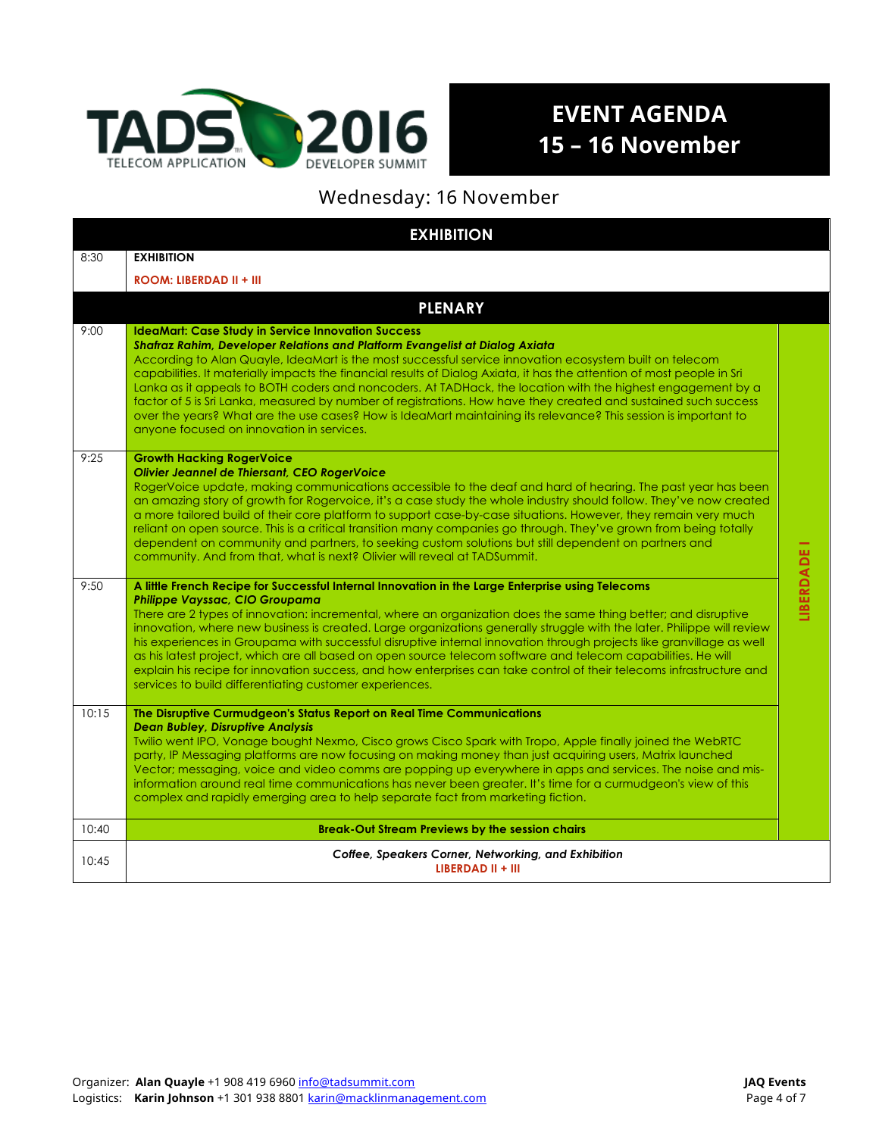

# **EVENT AGENDA 15 – 16 November**

## Wednesday: 16 November

| <b>EXHIBITION</b> |                                                                                                                                                                                                                                                                                                                                                                                                                                                                                                                                                                                                                                                                                                                                                                                                                  |             |  |  |
|-------------------|------------------------------------------------------------------------------------------------------------------------------------------------------------------------------------------------------------------------------------------------------------------------------------------------------------------------------------------------------------------------------------------------------------------------------------------------------------------------------------------------------------------------------------------------------------------------------------------------------------------------------------------------------------------------------------------------------------------------------------------------------------------------------------------------------------------|-------------|--|--|
| 8:30              | <b>EXHIBITION</b>                                                                                                                                                                                                                                                                                                                                                                                                                                                                                                                                                                                                                                                                                                                                                                                                |             |  |  |
|                   | ROOM: LIBERDAD II + III                                                                                                                                                                                                                                                                                                                                                                                                                                                                                                                                                                                                                                                                                                                                                                                          |             |  |  |
|                   | <b>PLENARY</b>                                                                                                                                                                                                                                                                                                                                                                                                                                                                                                                                                                                                                                                                                                                                                                                                   |             |  |  |
| 9:00              | <b>IdeaMart: Case Study in Service Innovation Success</b><br>Shafraz Rahim, Developer Relations and Platform Evangelist at Dialog Axiata<br>According to Alan Quayle, IdeaMart is the most successful service innovation ecosystem built on telecom<br>capabilities. It materially impacts the financial results of Dialog Axiata, it has the attention of most people in Sri<br>Lanka as it appeals to BOTH coders and noncoders. At TADHack, the location with the highest engagement by a<br>factor of 5 is Sri Lanka, measured by number of registrations. How have they created and sustained such success<br>over the years? What are the use cases? How is IdeaMart maintaining its relevance? This session is important to<br>anyone focused on innovation in services.                                  |             |  |  |
| 9:25              | <b>Growth Hacking RogerVoice</b><br>Olivier Jeannel de Thiersant, CEO RogerVoice<br>RogerVoice update, making communications accessible to the deaf and hard of hearing. The past year has been<br>an amazing story of growth for Rogervoice, it's a case study the whole industry should follow. They've now created<br>a more tailored build of their core platform to support case-by-case situations. However, they remain very much<br>reliant on open source. This is a critical transition many companies go through. They've grown from being totally<br>dependent on community and partners, to seeking custom solutions but still dependent on partners and<br>community. And from that, what is next? Olivier will reveal at TADSummit.                                                               |             |  |  |
| 9:50              | A little French Recipe for Successful Internal Innovation in the Large Enterprise using Telecoms<br><b>Philippe Vayssac, CIO Groupama</b><br>There are 2 types of innovation: incremental, where an organization does the same thing better; and disruptive<br>innovation, where new business is created. Large organizations generally struggle with the later. Philippe will review<br>his experiences in Groupama with successful disruptive internal innovation through projects like granvillage as well<br>as his latest project, which are all based on open source telecom software and telecom capabilities. He will<br>explain his recipe for innovation success, and how enterprises can take control of their telecoms infrastructure and<br>services to build differentiating customer experiences. | LIBERDADE I |  |  |
| 10:15             | The Disruptive Curmudgeon's Status Report on Real Time Communications<br><b>Dean Bubley, Disruptive Analysis</b><br>Twilio went IPO, Vonage bought Nexmo, Cisco grows Cisco Spark with Tropo, Apple finally joined the WebRTC<br>party, IP Messaging platforms are now focusing on making money than just acquiring users, Matrix launched<br>Vector; messaging, voice and video comms are popping up everywhere in apps and services. The noise and mis-<br>information around real time communications has never been greater. It's time for a curmudgeon's view of this<br>complex and rapidly emerging area to help separate fact from marketing fiction.                                                                                                                                                    |             |  |  |
| 10:40             | <b>Break-Out Stream Previews by the session chairs</b>                                                                                                                                                                                                                                                                                                                                                                                                                                                                                                                                                                                                                                                                                                                                                           |             |  |  |
| 10:45             | Coffee, Speakers Corner, Networking, and Exhibition<br>LIBERDAD II + III                                                                                                                                                                                                                                                                                                                                                                                                                                                                                                                                                                                                                                                                                                                                         |             |  |  |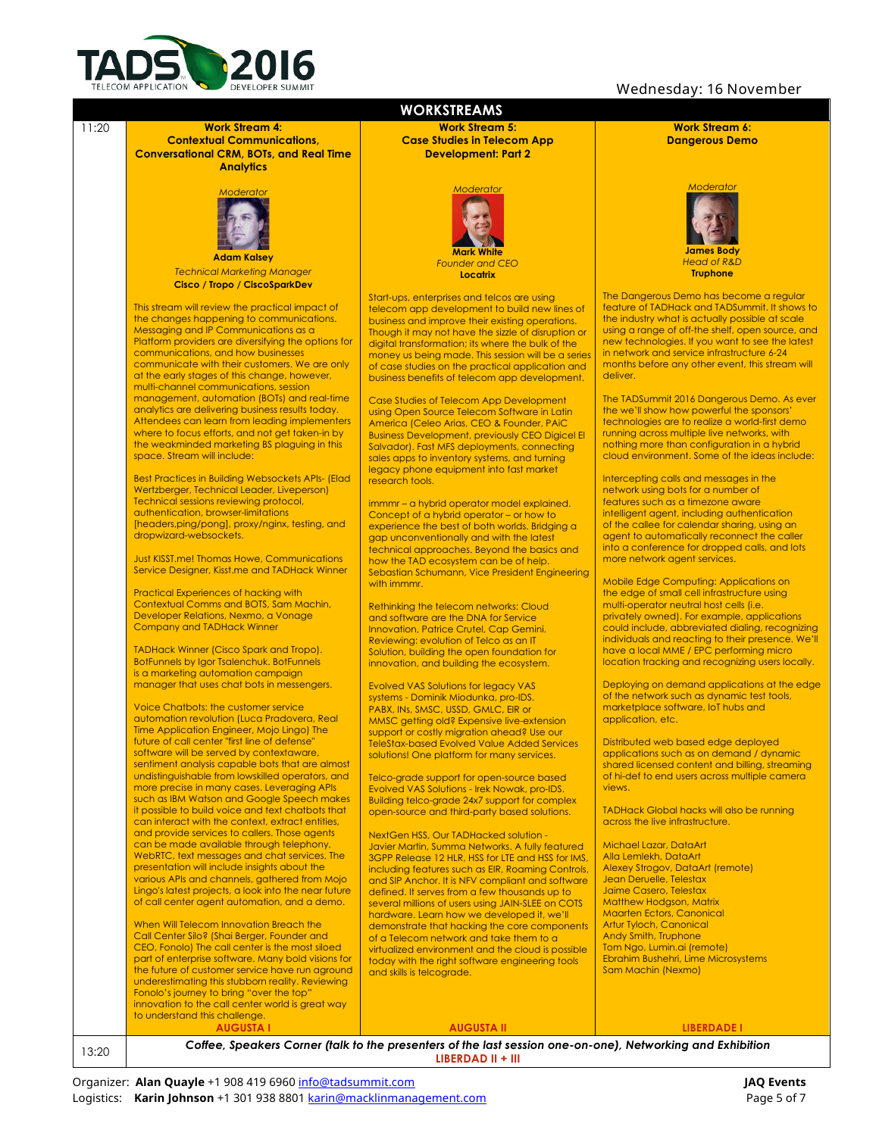

#### Wednesday: 16 November

**Work Stream 6:**

*Moderator*

**James Body** *Head of R&D* **Truphone**



13:20 *Coffee, Speakers Corner (talk to the presenters of the last session one-on-one), Networking and Exhibition* **LIBERDAD II + III**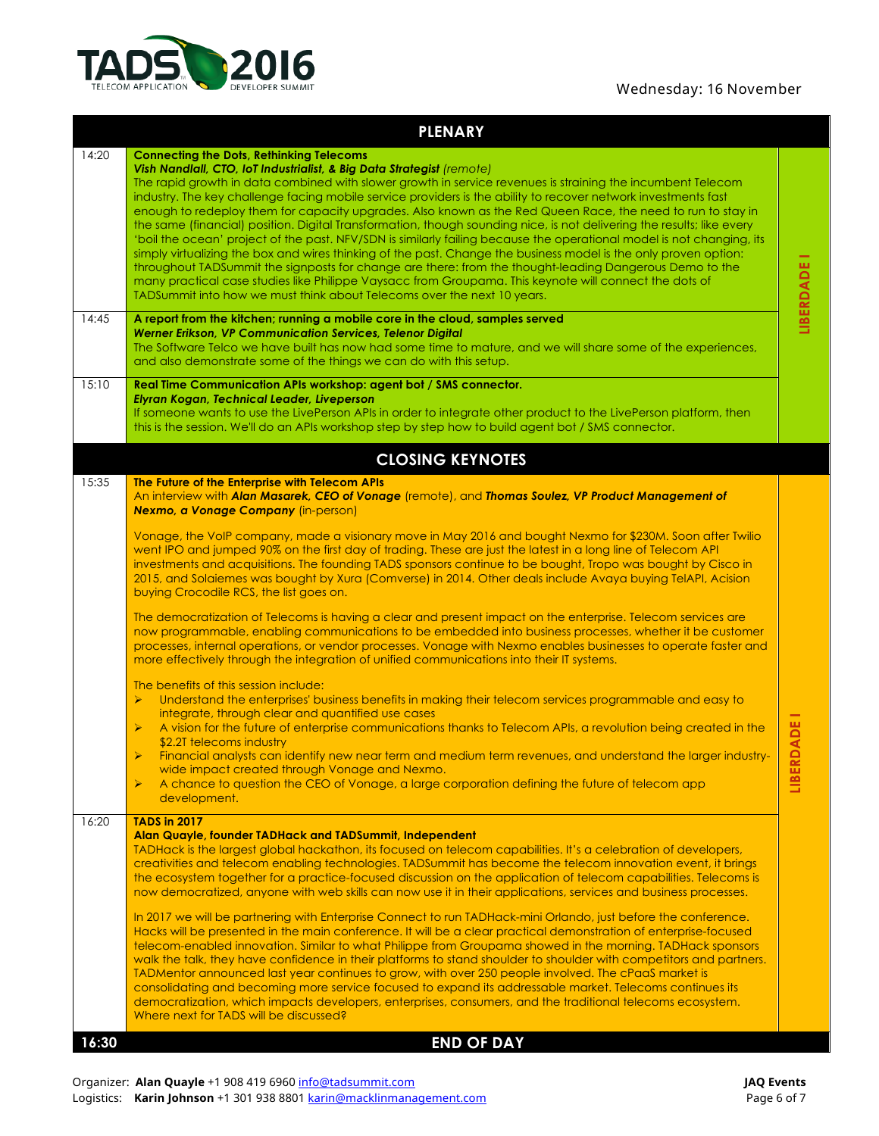### Wednesday: 16 November



| 14:20<br><b>Connecting the Dots, Rethinking Telecoms</b><br>Vish Nandlall, CTO, IoT Industrialist, & Big Data Strategist (remote)<br>The rapid growth in data combined with slower growth in service revenues is straining the incumbent Telecom<br>industry. The key challenge facing mobile service providers is the ability to recover network investments fast<br>enough to redeploy them for capacity upgrades. Also known as the Red Queen Race, the need to run to stay in<br>the same (financial) position. Digital Transformation, though sounding nice, is not delivering the results; like every<br>'boil the ocean' project of the past. NFV/SDN is similarly failing because the operational model is not changing, its<br>simply virtualizing the box and wires thinking of the past. Change the business model is the only proven option:<br>LIBERDADE I<br>throughout TADSummit the signposts for change are there: from the thought-leading Dangerous Demo to the<br>many practical case studies like Philippe Vaysacc from Groupama. This keynote will connect the dots of<br>TADSummit into how we must think about Telecoms over the next 10 years.<br>14:45<br>A report from the kitchen; running a mobile core in the cloud, samples served<br><b>Werner Erikson, VP Communication Services, Telenor Digital</b><br>The Software Telco we have built has now had some time to mature, and we will share some of the experiences,<br>and also demonstrate some of the things we can do with this setup.<br>15:10<br>Real Time Communication APIs workshop: agent bot / SMS connector.<br>Elyran Kogan, Technical Leader, Liveperson<br>If someone wants to use the LivePerson APIs in order to integrate other product to the LivePerson platform, then<br>this is the session. We'll do an APIs workshop step by step how to build agent bot / SMS connector.<br><b>CLOSING KEYNOTES</b><br>15:35<br>The Future of the Enterprise with Telecom APIs<br>An interview with Alan Masarek, CEO of Vonage (remote), and Thomas Soulez, VP Product Management of<br><b>Nexmo, a Vonage Company (in-person)</b><br>Vonage, the VoIP company, made a visionary move in May 2016 and bought Nexmo for \$230M. Soon after Twilio<br>went IPO and jumped 90% on the first day of trading. These are just the latest in a long line of Telecom API<br>investments and acquisitions. The founding TADS sponsors continue to be bought, Tropo was bought by Cisco in<br>2015, and Solaiemes was bought by Xura (Comverse) in 2014. Other deals include Avaya buying TelAPI, Acision<br>buying Crocodile RCS, the list goes on.<br>The democratization of Telecoms is having a clear and present impact on the enterprise. Telecom services are<br>now programmable, enabling communications to be embedded into business processes, whether it be customer<br>processes, internal operations, or vendor processes. Vonage with Nexmo enables businesses to operate faster and<br>more effectively through the integration of unified communications into their IT systems.<br>The benefits of this session include:<br>Understand the enterprises' business benefits in making their telecom services programmable and easy to<br>➤<br>integrate, through clear and quantified use cases<br>RDADE<br>A vision for the future of enterprise communications thanks to Telecom APIs, a revolution being created in the<br>➤<br>\$2.2T telecoms industry<br>Financial analysts can identify new near term and medium term revenues, and understand the larger industry-<br>wide impact created through Vonage and Nexmo.<br>LIBEI<br>A chance to question the CEO of Vonage, a large corporation defining the future of telecom app<br>$\blacktriangleright$<br>development.<br>16:20<br><b>TADS in 2017</b><br>Alan Quayle, founder TADHack and TADSummit, Independent<br>TADHack is the largest global hackathon, its focused on telecom capabilities. It's a celebration of developers,<br>creativities and telecom enabling technologies. TADSummit has become the telecom innovation event, it brings<br>the ecosystem together for a practice-focused discussion on the application of telecom capabilities. Telecoms is<br>now democratized, anyone with web skills can now use it in their applications, services and business processes.<br>In 2017 we will be partnering with Enterprise Connect to run TADHack-mini Orlando, just before the conference.<br>Hacks will be presented in the main conference. It will be a clear practical demonstration of enterprise-focused<br>telecom-enabled innovation. Similar to what Philippe from Groupama showed in the morning. TADHack sponsors<br>walk the talk, they have confidence in their platforms to stand shoulder to shoulder with competitors and partners.<br>TADMentor announced last year continues to grow, with over 250 people involved. The cPaaS market is<br>consolidating and becoming more service focused to expand its addressable market. Telecoms continues its<br>democratization, which impacts developers, enterprises, consumers, and the traditional telecoms ecosystem.<br>Where next for TADS will be discussed?<br><b>END OF DAY</b><br>16:30 | <b>PLENARY</b> |  |
|-------------------------------------------------------------------------------------------------------------------------------------------------------------------------------------------------------------------------------------------------------------------------------------------------------------------------------------------------------------------------------------------------------------------------------------------------------------------------------------------------------------------------------------------------------------------------------------------------------------------------------------------------------------------------------------------------------------------------------------------------------------------------------------------------------------------------------------------------------------------------------------------------------------------------------------------------------------------------------------------------------------------------------------------------------------------------------------------------------------------------------------------------------------------------------------------------------------------------------------------------------------------------------------------------------------------------------------------------------------------------------------------------------------------------------------------------------------------------------------------------------------------------------------------------------------------------------------------------------------------------------------------------------------------------------------------------------------------------------------------------------------------------------------------------------------------------------------------------------------------------------------------------------------------------------------------------------------------------------------------------------------------------------------------------------------------------------------------------------------------------------------------------------------------------------------------------------------------------------------------------------------------------------------------------------------------------------------------------------------------------------------------------------------------------------------------------------------------------------------------------------------------------------------------------------------------------------------------------------------------------------------------------------------------------------------------------------------------------------------------------------------------------------------------------------------------------------------------------------------------------------------------------------------------------------------------------------------------------------------------------------------------------------------------------------------------------------------------------------------------------------------------------------------------------------------------------------------------------------------------------------------------------------------------------------------------------------------------------------------------------------------------------------------------------------------------------------------------------------------------------------------------------------------------------------------------------------------------------------------------------------------------------------------------------------------------------------------------------------------------------------------------------------------------------------------------------------------------------------------------------------------------------------------------------------------------------------------------------------------------------------------------------------------------------------------------------------------------------------------------------------------------------------------------------------------------------------------------------------------------------------------------------------------------------------------------------------------------------------------------------------------------------------------------------------------------------------------------------------------------------------------------------------------------------------------------------------------------------------------------------------------------------------------------------------------------------------------------------------------------------------------------------------------------------------------------------------------------------------------------------------------------------------------------------------------------------------------------------------------------------------------------------------------------------------------------------------------------------------------------------------------------------------------------------------------------------------------------------------------------|----------------|--|
|                                                                                                                                                                                                                                                                                                                                                                                                                                                                                                                                                                                                                                                                                                                                                                                                                                                                                                                                                                                                                                                                                                                                                                                                                                                                                                                                                                                                                                                                                                                                                                                                                                                                                                                                                                                                                                                                                                                                                                                                                                                                                                                                                                                                                                                                                                                                                                                                                                                                                                                                                                                                                                                                                                                                                                                                                                                                                                                                                                                                                                                                                                                                                                                                                                                                                                                                                                                                                                                                                                                                                                                                                                                                                                                                                                                                                                                                                                                                                                                                                                                                                                                                                                                                                                                                                                                                                                                                                                                                                                                                                                                                                                                                                                                                                                                                                                                                                                                                                                                                                                                                                                                                                                                                                                           |                |  |
|                                                                                                                                                                                                                                                                                                                                                                                                                                                                                                                                                                                                                                                                                                                                                                                                                                                                                                                                                                                                                                                                                                                                                                                                                                                                                                                                                                                                                                                                                                                                                                                                                                                                                                                                                                                                                                                                                                                                                                                                                                                                                                                                                                                                                                                                                                                                                                                                                                                                                                                                                                                                                                                                                                                                                                                                                                                                                                                                                                                                                                                                                                                                                                                                                                                                                                                                                                                                                                                                                                                                                                                                                                                                                                                                                                                                                                                                                                                                                                                                                                                                                                                                                                                                                                                                                                                                                                                                                                                                                                                                                                                                                                                                                                                                                                                                                                                                                                                                                                                                                                                                                                                                                                                                                                           |                |  |
|                                                                                                                                                                                                                                                                                                                                                                                                                                                                                                                                                                                                                                                                                                                                                                                                                                                                                                                                                                                                                                                                                                                                                                                                                                                                                                                                                                                                                                                                                                                                                                                                                                                                                                                                                                                                                                                                                                                                                                                                                                                                                                                                                                                                                                                                                                                                                                                                                                                                                                                                                                                                                                                                                                                                                                                                                                                                                                                                                                                                                                                                                                                                                                                                                                                                                                                                                                                                                                                                                                                                                                                                                                                                                                                                                                                                                                                                                                                                                                                                                                                                                                                                                                                                                                                                                                                                                                                                                                                                                                                                                                                                                                                                                                                                                                                                                                                                                                                                                                                                                                                                                                                                                                                                                                           |                |  |
|                                                                                                                                                                                                                                                                                                                                                                                                                                                                                                                                                                                                                                                                                                                                                                                                                                                                                                                                                                                                                                                                                                                                                                                                                                                                                                                                                                                                                                                                                                                                                                                                                                                                                                                                                                                                                                                                                                                                                                                                                                                                                                                                                                                                                                                                                                                                                                                                                                                                                                                                                                                                                                                                                                                                                                                                                                                                                                                                                                                                                                                                                                                                                                                                                                                                                                                                                                                                                                                                                                                                                                                                                                                                                                                                                                                                                                                                                                                                                                                                                                                                                                                                                                                                                                                                                                                                                                                                                                                                                                                                                                                                                                                                                                                                                                                                                                                                                                                                                                                                                                                                                                                                                                                                                                           |                |  |
|                                                                                                                                                                                                                                                                                                                                                                                                                                                                                                                                                                                                                                                                                                                                                                                                                                                                                                                                                                                                                                                                                                                                                                                                                                                                                                                                                                                                                                                                                                                                                                                                                                                                                                                                                                                                                                                                                                                                                                                                                                                                                                                                                                                                                                                                                                                                                                                                                                                                                                                                                                                                                                                                                                                                                                                                                                                                                                                                                                                                                                                                                                                                                                                                                                                                                                                                                                                                                                                                                                                                                                                                                                                                                                                                                                                                                                                                                                                                                                                                                                                                                                                                                                                                                                                                                                                                                                                                                                                                                                                                                                                                                                                                                                                                                                                                                                                                                                                                                                                                                                                                                                                                                                                                                                           |                |  |
|                                                                                                                                                                                                                                                                                                                                                                                                                                                                                                                                                                                                                                                                                                                                                                                                                                                                                                                                                                                                                                                                                                                                                                                                                                                                                                                                                                                                                                                                                                                                                                                                                                                                                                                                                                                                                                                                                                                                                                                                                                                                                                                                                                                                                                                                                                                                                                                                                                                                                                                                                                                                                                                                                                                                                                                                                                                                                                                                                                                                                                                                                                                                                                                                                                                                                                                                                                                                                                                                                                                                                                                                                                                                                                                                                                                                                                                                                                                                                                                                                                                                                                                                                                                                                                                                                                                                                                                                                                                                                                                                                                                                                                                                                                                                                                                                                                                                                                                                                                                                                                                                                                                                                                                                                                           |                |  |
|                                                                                                                                                                                                                                                                                                                                                                                                                                                                                                                                                                                                                                                                                                                                                                                                                                                                                                                                                                                                                                                                                                                                                                                                                                                                                                                                                                                                                                                                                                                                                                                                                                                                                                                                                                                                                                                                                                                                                                                                                                                                                                                                                                                                                                                                                                                                                                                                                                                                                                                                                                                                                                                                                                                                                                                                                                                                                                                                                                                                                                                                                                                                                                                                                                                                                                                                                                                                                                                                                                                                                                                                                                                                                                                                                                                                                                                                                                                                                                                                                                                                                                                                                                                                                                                                                                                                                                                                                                                                                                                                                                                                                                                                                                                                                                                                                                                                                                                                                                                                                                                                                                                                                                                                                                           |                |  |